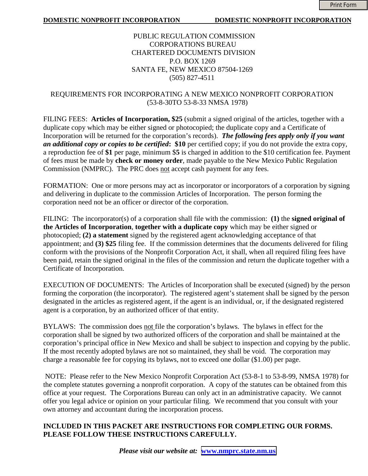### PUBLIC REGULATION COMMISSION CORPORATIONS BUREAU CHARTERED DOCUMENTS DIVISION P.O. BOX 1269 SANTA FE, NEW MEXICO 87504-1269 (505) 827-4511

## REQUIREMENTS FOR INCORPORATING A NEW MEXICO NONPROFIT CORPORATION (53-8-30TO 53-8-33 NMSA 1978)

FILING FEES: **Articles of Incorporation, \$25** (submit a signed original of the articles, together with a duplicate copy which may be either signed or photocopied; the duplicate copy and a Certificate of Incorporation will be returned for the corporation's records). *The following fees apply only if you want an additional copy or copies to be certified***: \$10** per certified copy; if you do not provide the extra copy, a reproduction fee of **\$1** per page, minimum \$**5** is charged in addition to the \$10 certification fee. Payment of fees must be made by **check or money order**, made payable to the New Mexico Public Regulation Commission (NMPRC). The PRC does not accept cash payment for any fees.

FORMATION: One or more persons may act as incorporator or incorporators of a corporation by signing and delivering in duplicate to the commission Articles of Incorporation. The person forming the corporation need not be an officer or director of the corporation.

FILING: The incorporator(s) of a corporation shall file with the commission: **(1)** the **signed original of the Articles of Incorporation**, **together with a duplicate copy** which may be either signed or photocopied; **(2) a statement** signed by the registered agent acknowledging acceptance of that appointment; and **(3) \$25** filing fee. If the commission determines that the documents delivered for filing conform with the provisions of the Nonprofit Corporation Act, it shall, when all required filing fees have been paid, retain the signed original in the files of the commission and return the duplicate together with a Certificate of Incorporation.

EXECUTION OF DOCUMENTS: The Articles of Incorporation shall be executed (signed) by the person forming the corporation (the incorporator). The registered agent's statement shall be signed by the person designated in the articles as registered agent, if the agent is an individual, or, if the designated registered agent is a corporation, by an authorized officer of that entity.

BYLAWS: The commission does not file the corporation's bylaws. The bylaws in effect for the corporation shall be signed by two authorized officers of the corporation and shall be maintained at the corporation's principal office in New Mexico and shall be subject to inspection and copying by the public. If the most recently adopted bylaws are not so maintained, they shall be void. The corporation may charge a reasonable fee for copying its bylaws, not to exceed one dollar (\$1.00) per page.

 NOTE: Please refer to the New Mexico Nonprofit Corporation Act (53-8-1 to 53-8-99, NMSA 1978) for the complete statutes governing a nonprofit corporation. A copy of the statutes can be obtained from this office at your request. The Corporations Bureau can only act in an administrative capacity. We cannot offer you legal advice or opinion on your particular filing. We recommend that you consult with your own attorney and accountant during the incorporation process.

## **INCLUDED IN THIS PACKET ARE INSTRUCTIONS FOR COMPLETING OUR FORMS. PLEASE FOLLOW THESE INSTRUCTIONS CAREFULLY.**

*Please visit our website at:* **[www.nmprc.state.nm.us](http://www.nmprc.state.nm.us/)**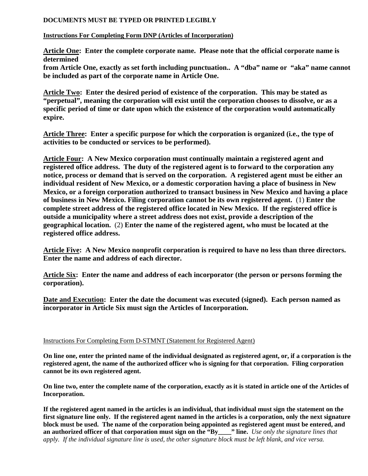#### **DOCUMENTS MUST BE TYPED OR PRINTED LEGIBLY**

#### **Instructions For Completing Form DNP (Articles of Incorporation)**

**Article One: Enter the complete corporate name. Please note that the official corporate name is determined** 

**from Article One, exactly as set forth including punctuation.. A "dba" name or "aka" name cannot be included as part of the corporate name in Article One.** 

**Article Two: Enter the desired period of existence of the corporation. This may be stated as "perpetual", meaning the corporation will exist until the corporation chooses to dissolve, or as a specific period of time or date upon which the existence of the corporation would automatically expire.** 

**Article Three: Enter a specific purpose for which the corporation is organized (i.e., the type of activities to be conducted or services to be performed).** 

**Article Four: A New Mexico corporation must continually maintain a registered agent and registered office address. The duty of the registered agent is to forward to the corporation any notice, process or demand that is served on the corporation. A registered agent must be either an individual resident of New Mexico, or a domestic corporation having a place of business in New Mexico, or a foreign corporation authorized to transact business in New Mexico and having a place of business in New Mexico. Filing corporation cannot be its own registered agent.** (1) **Enter the complete street address of the registered office located in New Mexico. If the registered office is outside a municipality where a street address does not exist, provide a description of the geographical location.** (2) **Enter the name of the registered agent, who must be located at the registered office address.** 

**Article Five: A New Mexico nonprofit corporation is required to have no less than three directors. Enter the name and address of each director.** 

**Article Six: Enter the name and address of each incorporator (the person or persons forming the corporation).** 

**Date and Execution: Enter the date the document was executed (signed). Each person named as incorporator in Article Six must sign the Articles of Incorporation.** 

#### Instructions For Completing Form D-STMNT (Statement for Registered Agent)

**On line one, enter the printed name of the individual designated as registered agent, or, if a corporation is the registered agent, the name of the authorized officer who is signing for that corporation. Filing corporation cannot be its own registered agent.** 

**On line two, enter the complete name of the corporation, exactly as it is stated in article one of the Articles of Incorporation.** 

**If the registered agent named in the articles is an individual, that individual must sign the statement on the first signature line only. If the registered agent named in the articles is a corporation, only the next signature block must be used. The name of the corporation being appointed as registered agent must be entered, and an authorized officer of that corporation must sign on the "By\_\_\_\_" line.** *Use only the signature lines that apply. If the individual signature line is used, the other signature block must be left blank, and vice versa.*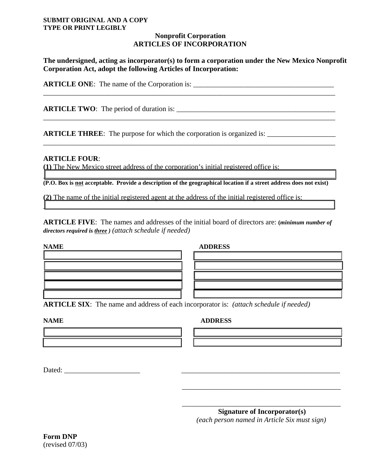#### **SUBMIT ORIGINAL AND A COPY TYPE OR PRINT LEGIBLY**

#### **Nonprofit Corporation ARTICLES OF INCORPORATION**

**The undersigned, acting as incorporator(s) to form a corporation under the New Mexico Nonprofit Corporation Act, adopt the following Articles of Incorporation:** 

\_\_\_\_\_\_\_\_\_\_\_\_\_\_\_\_\_\_\_\_\_\_\_\_\_\_\_\_\_\_\_\_\_\_\_\_\_\_\_\_\_\_\_\_\_\_\_\_\_\_\_\_\_\_\_\_\_\_\_\_\_\_\_\_\_\_\_\_\_\_\_\_\_\_\_\_\_\_\_\_\_

\_\_\_\_\_\_\_\_\_\_\_\_\_\_\_\_\_\_\_\_\_\_\_\_\_\_\_\_\_\_\_\_\_\_\_\_\_\_\_\_\_\_\_\_\_\_\_\_\_\_\_\_\_\_\_\_\_\_\_\_\_\_\_\_\_\_\_\_\_\_\_\_\_\_\_\_\_\_\_\_\_

\_\_\_\_\_\_\_\_\_\_\_\_\_\_\_\_\_\_\_\_\_\_\_\_\_\_\_\_\_\_\_\_\_\_\_\_\_\_\_\_\_\_\_\_\_\_\_\_\_\_\_\_\_\_\_\_\_\_\_\_\_\_\_\_\_\_\_\_\_\_\_\_\_\_\_\_\_\_\_\_\_

**ARTICLE ONE:** The name of the Corporation is:

**ARTICLE TWO**: The period of duration is: \_\_\_\_\_\_\_\_\_\_\_\_\_\_\_\_\_\_\_\_\_\_\_\_\_\_\_\_\_\_\_\_\_\_\_\_\_\_\_\_\_\_\_\_

**ARTICLE THREE**: The purpose for which the corporation is organized is: \_\_\_\_\_\_\_\_\_\_\_\_\_\_\_\_\_\_\_

#### **ARTICLE FOUR**:

**(1)** The New Mexico street address of the corporation's initial registered office is:

 $\mathcal{L}_\text{max}$  and  $\mathcal{L}_\text{max}$  and  $\mathcal{L}_\text{max}$  and  $\mathcal{L}_\text{max}$  and  $\mathcal{L}_\text{max}$  and  $\mathcal{L}_\text{max}$  and  $\mathcal{L}_\text{max}$ **(P.O. Box is not acceptable. Provide a description of the geographical location if a street address does not exist)** 

**(2)** The name of the initial registered agent at the address of the initial registered office is:

**ARTICLE FIVE**: The names and addresses of the initial board of directors are: **(***minimum number of directors required is three ) (attach schedule if needed)* 

 $\mathcal{L}_\text{max} = \mathcal{L}_\text{max} = \mathcal{L}_\text{max} = \mathcal{L}_\text{max} = \mathcal{L}_\text{max} = \mathcal{L}_\text{max} = \mathcal{L}_\text{max} = \mathcal{L}_\text{max} = \mathcal{L}_\text{max} = \mathcal{L}_\text{max} = \mathcal{L}_\text{max} = \mathcal{L}_\text{max} = \mathcal{L}_\text{max} = \mathcal{L}_\text{max} = \mathcal{L}_\text{max} = \mathcal{L}_\text{max} = \mathcal{L}_\text{max} = \mathcal{L}_\text{max} = \mathcal{$ 

#### **NAME ADDRESS**

**ARTICLE SIX**: The name and address of each incorporator is: *(attach schedule if needed)*

 $\overline{\phantom{a}}$  , and the contract of the contract of the contract of the contract of the contract of the contract of the contract of the contract of the contract of the contract of the contract of the contract of the contrac

 $\overline{\phantom{a}}$  , and the contract of the contract of the contract of the contract of the contract of the contract of the contract of the contract of the contract of the contract of the contract of the contract of the contrac

#### **NAME ADDRESS**

Dated: \_\_\_\_\_\_\_\_\_\_\_\_\_\_\_\_\_\_\_\_\_ \_\_\_\_\_\_\_\_\_\_\_\_\_\_\_\_\_\_\_\_\_\_\_\_\_\_\_\_\_\_\_\_\_\_\_\_\_\_\_\_\_\_\_\_

 **Signature of Incorporator(s)** *(each person named in Article Six must sign)*